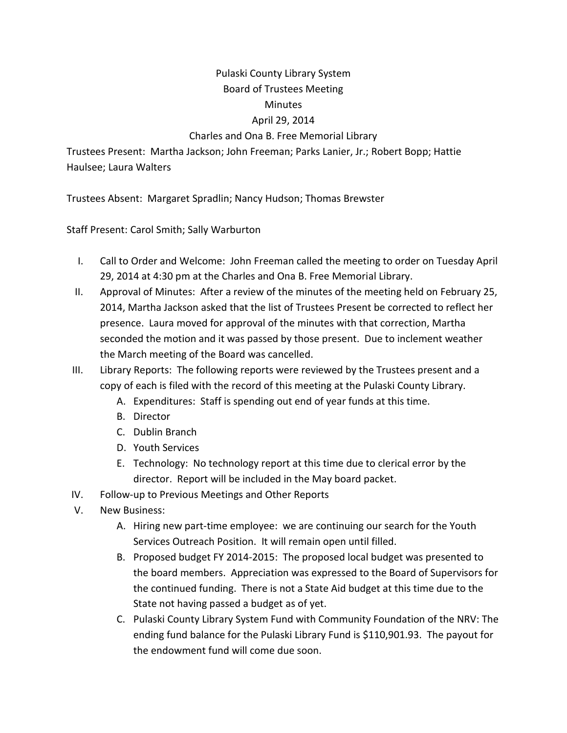## Pulaski County Library System Board of Trustees Meeting

## Minutes

## April 29, 2014

## Charles and Ona B. Free Memorial Library

Trustees Present: Martha Jackson; John Freeman; Parks Lanier, Jr.; Robert Bopp; Hattie Haulsee; Laura Walters

Trustees Absent: Margaret Spradlin; Nancy Hudson; Thomas Brewster

Staff Present: Carol Smith; Sally Warburton

- I. Call to Order and Welcome: John Freeman called the meeting to order on Tuesday April 29, 2014 at 4:30 pm at the Charles and Ona B. Free Memorial Library.
- II. Approval of Minutes: After a review of the minutes of the meeting held on February 25, 2014, Martha Jackson asked that the list of Trustees Present be corrected to reflect her presence. Laura moved for approval of the minutes with that correction, Martha seconded the motion and it was passed by those present. Due to inclement weather the March meeting of the Board was cancelled.
- III. Library Reports: The following reports were reviewed by the Trustees present and a copy of each is filed with the record of this meeting at the Pulaski County Library.
	- A. Expenditures: Staff is spending out end of year funds at this time.
	- B. Director
	- C. Dublin Branch
	- D. Youth Services
	- E. Technology: No technology report at this time due to clerical error by the director. Report will be included in the May board packet.
- IV. Follow-up to Previous Meetings and Other Reports
- V. New Business:
	- A. Hiring new part-time employee: we are continuing our search for the Youth Services Outreach Position. It will remain open until filled.
	- B. Proposed budget FY 2014-2015: The proposed local budget was presented to the board members. Appreciation was expressed to the Board of Supervisors for the continued funding. There is not a State Aid budget at this time due to the State not having passed a budget as of yet.
	- C. Pulaski County Library System Fund with Community Foundation of the NRV: The ending fund balance for the Pulaski Library Fund is \$110,901.93. The payout for the endowment fund will come due soon.